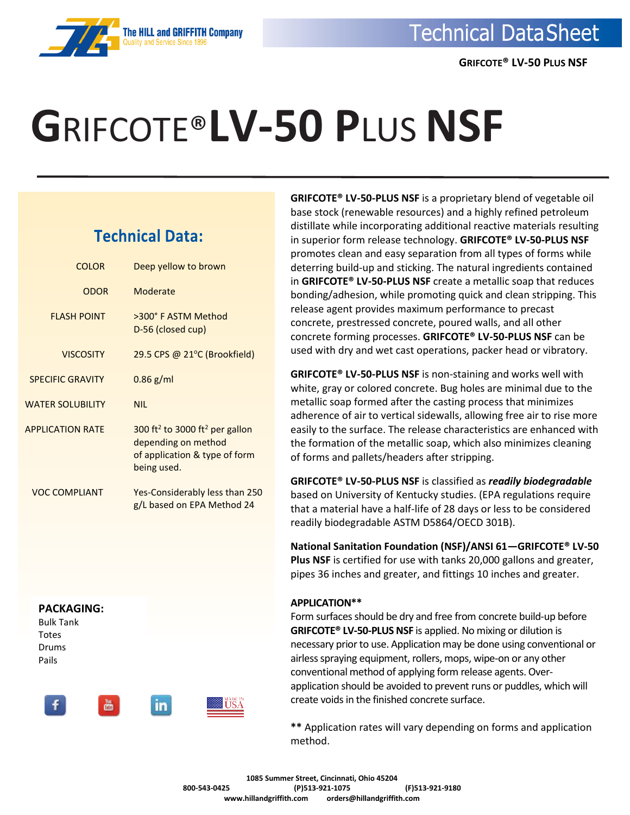

# **G**RIFCOTE®**LV-50 P**LUS **NSF**

### **Technical Data:**

| <b>COLOR</b>            | Deep yellow to brown                                                                                                          |
|-------------------------|-------------------------------------------------------------------------------------------------------------------------------|
| <b>ODOR</b>             | Moderate                                                                                                                      |
| <b>FLASH POINT</b>      | >300° F ASTM Method<br>D-56 (closed cup)                                                                                      |
| <b>VISCOSITY</b>        | 29.5 CPS @ 21°C (Brookfield)                                                                                                  |
| <b>SPECIFIC GRAVITY</b> | $0.86$ g/ml                                                                                                                   |
| <b>WATER SOLUBILITY</b> | <b>NIL</b>                                                                                                                    |
| <b>APPLICATION RATE</b> | 300 ft <sup>2</sup> to 3000 ft <sup>2</sup> per gallon<br>depending on method<br>of application & type of form<br>being used. |
| <b>VOC COMPLIANT</b>    | Yes-Considerably less than 250<br>g/L based on EPA Method 24                                                                  |



**in** 

**GRIFCOTE® LV-50-PLUS NSF** is a proprietary blend of vegetable oil base stock (renewable resources) and a highly refined petroleum distillate while incorporating additional reactive materials resulting in superior form release technology. **GRIFCOTE® LV-50-PLUS NSF** promotes clean and easy separation from all types of forms while deterring build-up and sticking. The natural ingredients contained in **GRIFCOTE® LV-50-PLUS NSF** create a metallic soap that reduces bonding/adhesion, while promoting quick and clean stripping. This release agent provides maximum performance to precast concrete, prestressed concrete, poured walls, and all other concrete forming processes. **GRIFCOTE® LV-50-PLUS NSF** can be used with dry and wet cast operations, packer head or vibratory.

**GRIFCOTE® LV-50-PLUS NSF** is non-staining and works well with white, gray or colored concrete. Bug holes are minimal due to the metallic soap formed after the casting process that minimizes adherence of air to vertical sidewalls, allowing free air to rise more easily to the surface. The release characteristics are enhanced with the formation of the metallic soap, which also minimizes cleaning of forms and pallets/headers after stripping.

**GRIFCOTE® LV-50-PLUS NSF** is classified as *readily biodegradable* based on University of Kentucky studies. (EPA regulations require that a material have a half-life of 28 days or less to be considered readily biodegradable ASTM D5864/OECD 301B).

**National Sanitation Foundation (NSF)/ANSI 61—GRIFCOTE® LV-50 Plus NSF** is certified for use with tanks 20,000 gallons and greater, pipes 36 inches and greater, and fittings 10 inches and greater.

### **APPLICATION\*\***

Form surfaces should be dry and free from concrete build-up before **GRIFCOTE® LV-50-PLUS NSF** is applied. No mixing or dilution is necessary prior to use. Application may be done using conventional or airless spraying equipment, rollers, mops, wipe-on or any other conventional method of applying form release agents. Overapplication should be avoided to prevent runs or puddles, which will create voids in the finished concrete surface.

**\*\*** Application rates will vary depending on forms and application method.